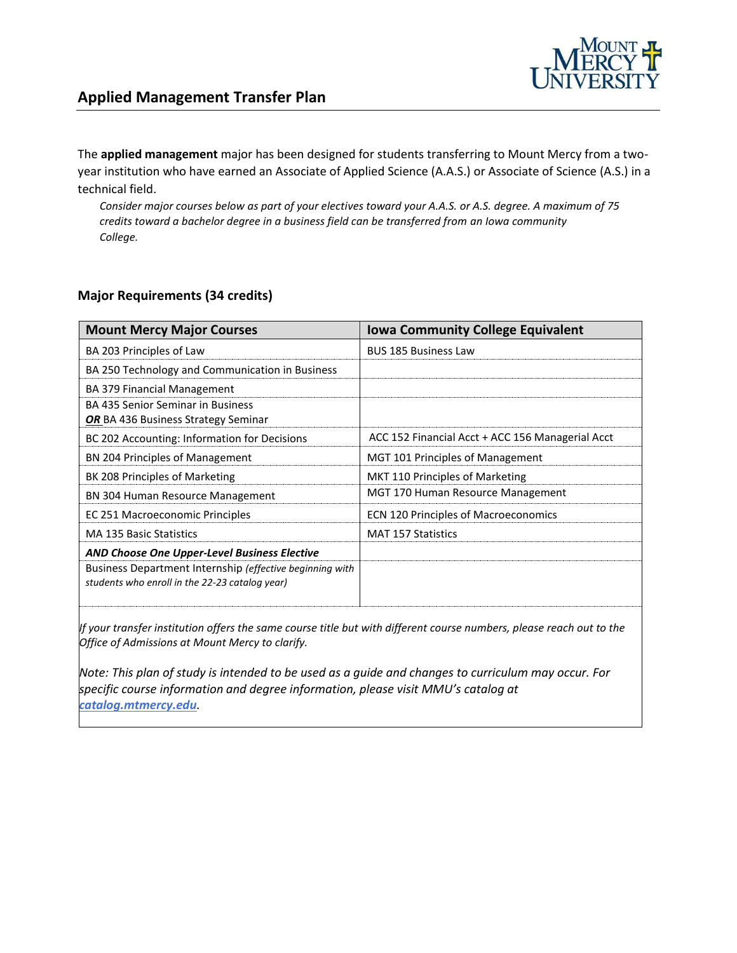

The **applied management** major has been designed for students transferring to Mount Mercy from a twoyear institution who have earned an Associate of Applied Science (A.A.S.) or Associate of Science (A.S.) in a technical field.

*Consider major courses below as part of your electives toward your A.A.S. or A.S. degree. A maximum of 75 credits toward a bachelor degree in a business field can be transferred from an Iowa community College.*

## **Major Requirements (34 credits)**

| <b>Mount Mercy Major Courses</b>                                                                           | <b>Iowa Community College Equivalent</b>         |
|------------------------------------------------------------------------------------------------------------|--------------------------------------------------|
| BA 203 Principles of Law                                                                                   | <b>BUS 185 Business Law</b>                      |
| BA 250 Technology and Communication in Business                                                            |                                                  |
| <b>BA 379 Financial Management</b>                                                                         |                                                  |
| BA 435 Senior Seminar in Business<br><b>OR</b> BA 436 Business Strategy Seminar                            |                                                  |
| BC 202 Accounting: Information for Decisions                                                               | ACC 152 Financial Acct + ACC 156 Managerial Acct |
| BN 204 Principles of Management                                                                            | MGT 101 Principles of Management                 |
| BK 208 Principles of Marketing                                                                             | MKT 110 Principles of Marketing                  |
| <b>BN 304 Human Resource Management</b>                                                                    | MGT 170 Human Resource Management                |
| EC 251 Macroeconomic Principles                                                                            | <b>ECN 120 Principles of Macroeconomics</b>      |
| <b>MA 135 Basic Statistics</b>                                                                             | <b>MAT 157 Statistics</b>                        |
| AND Choose One Upper-Level Business Elective                                                               |                                                  |
| Business Department Internship (effective beginning with<br>students who enroll in the 22-23 catalog year) |                                                  |

*If your transfer institution offers the same course title but with different course numbers, please reach out to the Office of Admissions at Mount Mercy to clarify.*

*Note: This plan of study is intended to be used as a guide and changes to curriculum may occur. For specific course information and degree information, please visit MMU's catalog at catalog.mtmercy.edu.*